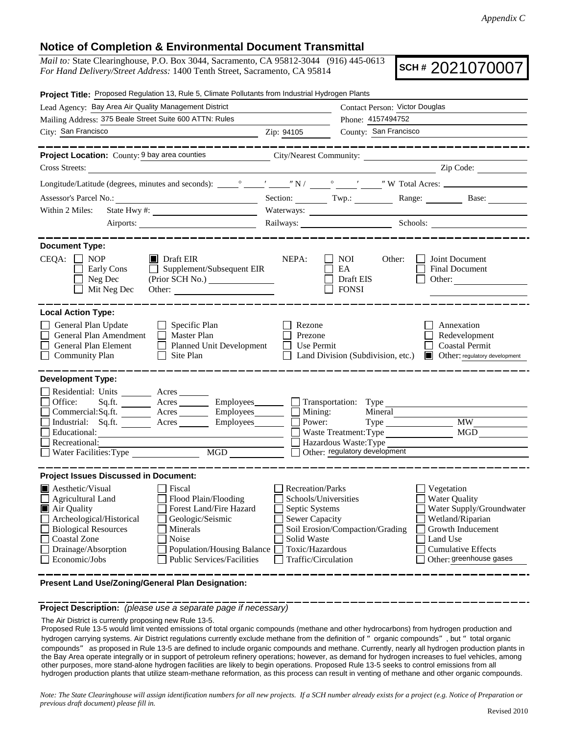## **Notice of Completion & Environmental Document Transmittal**

*Mail to:* State Clearinghouse, P.O. Box 3044, Sacramento, CA 95812-3044 (916) 445-0613 *For Hand Delivery/Street Address:* 1400 Tenth Street, Sacramento, CA 95814

**SCH #** 2021070007

| Project Title: Proposed Regulation 13, Rule 5, Climate Pollutants from Industrial Hydrogen Plants                                                                                                                                                                                                                                                                      |                                                                                                                                                     |                                                                                                                    |                                                                                                                                                                      |
|------------------------------------------------------------------------------------------------------------------------------------------------------------------------------------------------------------------------------------------------------------------------------------------------------------------------------------------------------------------------|-----------------------------------------------------------------------------------------------------------------------------------------------------|--------------------------------------------------------------------------------------------------------------------|----------------------------------------------------------------------------------------------------------------------------------------------------------------------|
| Lead Agency: Bay Area Air Quality Management District                                                                                                                                                                                                                                                                                                                  |                                                                                                                                                     | Contact Person: Victor Douglas                                                                                     |                                                                                                                                                                      |
| Mailing Address: 375 Beale Street Suite 600 ATTN: Rules                                                                                                                                                                                                                                                                                                                |                                                                                                                                                     | Phone: 4157494752                                                                                                  |                                                                                                                                                                      |
| City: San Francisco                                                                                                                                                                                                                                                                                                                                                    | Zip: 94105                                                                                                                                          | County: San Francisco                                                                                              |                                                                                                                                                                      |
| Project Location: County: 9 bay area counties City/Nearest Community: ___________                                                                                                                                                                                                                                                                                      |                                                                                                                                                     |                                                                                                                    |                                                                                                                                                                      |
| Cross Streets:                                                                                                                                                                                                                                                                                                                                                         |                                                                                                                                                     |                                                                                                                    | $\sqrt{2ip \text{ Code: }}$                                                                                                                                          |
|                                                                                                                                                                                                                                                                                                                                                                        |                                                                                                                                                     |                                                                                                                    |                                                                                                                                                                      |
|                                                                                                                                                                                                                                                                                                                                                                        |                                                                                                                                                     |                                                                                                                    | Section: Twp.: Range: Base:                                                                                                                                          |
| Within 2 Miles:                                                                                                                                                                                                                                                                                                                                                        | Waterways:                                                                                                                                          |                                                                                                                    |                                                                                                                                                                      |
| Airports:                                                                                                                                                                                                                                                                                                                                                              |                                                                                                                                                     |                                                                                                                    | Railways: Schools: Schools:                                                                                                                                          |
| <b>Document Type:</b>                                                                                                                                                                                                                                                                                                                                                  |                                                                                                                                                     |                                                                                                                    |                                                                                                                                                                      |
| $CEQA: \Box NP$<br>$\blacksquare$ Draft EIR<br>$\Box$ Supplement/Subsequent EIR<br>Early Cons<br>Neg Dec<br>(Prior SCH No.)<br>Mit Neg Dec                                                                                                                                                                                                                             | NEPA:                                                                                                                                               | NOI<br>Other:<br>EA<br>Draft EIS<br><b>FONSI</b>                                                                   | Joint Document<br><b>Final Document</b><br>Other:                                                                                                                    |
| <b>Local Action Type:</b>                                                                                                                                                                                                                                                                                                                                              |                                                                                                                                                     |                                                                                                                    |                                                                                                                                                                      |
| General Plan Update<br>$\Box$ Specific Plan<br>General Plan Amendment<br>Master Plan<br>General Plan Element<br>Planned Unit Development<br>Community Plan<br>$\Box$<br>Site Plan                                                                                                                                                                                      | Rezone<br>Prezone<br>$\Box$ Use Permit                                                                                                              | Land Division (Subdivision, etc.)                                                                                  | Annexation<br>Redevelopment<br><b>Coastal Permit</b><br>Other: regulatory development                                                                                |
| <b>Development Type:</b><br>Residential: Units Acres<br>Sq.ft. _________ Acres __________ Employees ________ [<br>Office:<br>Commercial:Sq.ft. <u>Acres</u> Acres Employees<br>Industrial: Sq.ft. <u>Acres</u> Acres Employees<br>Recreational:<br>MGD<br>Water Facilities: Type                                                                                       | $\frac{1}{\sqrt{2}} \frac{\text{Mining}}{\text{Power}}$                                                                                             | Transportation: Type<br>Mineral<br>Waste Treatment: Type<br>Hazardous Waste: Type<br>Other: regulatory development | <b>MW</b><br>MGD                                                                                                                                                     |
| <b>Project Issues Discussed in Document:</b>                                                                                                                                                                                                                                                                                                                           |                                                                                                                                                     |                                                                                                                    |                                                                                                                                                                      |
| <b>A</b> esthetic/Visual<br>Fiscal<br><b>Agricultural Land</b><br>Flood Plain/Flooding<br>Air Quality<br>Forest Land/Fire Hazard<br>Archeological/Historical<br>Geologic/Seismic<br><b>Biological Resources</b><br>Minerals<br><b>Coastal Zone</b><br>Noise<br>Population/Housing Balance<br>Drainage/Absorption<br>Economic/Jobs<br><b>Public Services/Facilities</b> | <b>Recreation/Parks</b><br>Schools/Universities<br>Septic Systems<br><b>Sewer Capacity</b><br>Solid Waste<br>Toxic/Hazardous<br>Traffic/Circulation | Soil Erosion/Compaction/Grading                                                                                    | Vegetation<br>Water Quality<br>Water Supply/Groundwater<br>Wetland/Riparian<br>Growth Inducement<br>Land Use<br><b>Cumulative Effects</b><br>Other: greenhouse gases |

**Present Land Use/Zoning/General Plan Designation:**

**Project Description:** *(please use a separate page if necessary)*

The Air District is currently proposing new Rule 13-5.

Proposed Rule 13-5 would limit vented emissions of total organic compounds (methane and other hydrocarbons) from hydrogen production and hydrogen carrying systems. Air District regulations currently exclude methane from the definition of "organic compounds", but "total organic compounds" as proposed in Rule 13-5 are defined to include organic compounds and methane. Currently, nearly all hydrogen production plants in the Bay Area operate integrally or in support of petroleum refinery operations; however, as demand for hydrogen increases to fuel vehicles, among other purposes, more stand-alone hydrogen facilities are likely to begin operations. Proposed Rule 13-5 seeks to control emissions from all hydrogen production plants that utilize steam-methane reformation, as this process can result in venting of methane and other organic compounds.

*Note: The State Clearinghouse will assign identification numbers for all new projects. If a SCH number already exists for a project (e.g. Notice of Preparation or previous draft document) please fill in.*